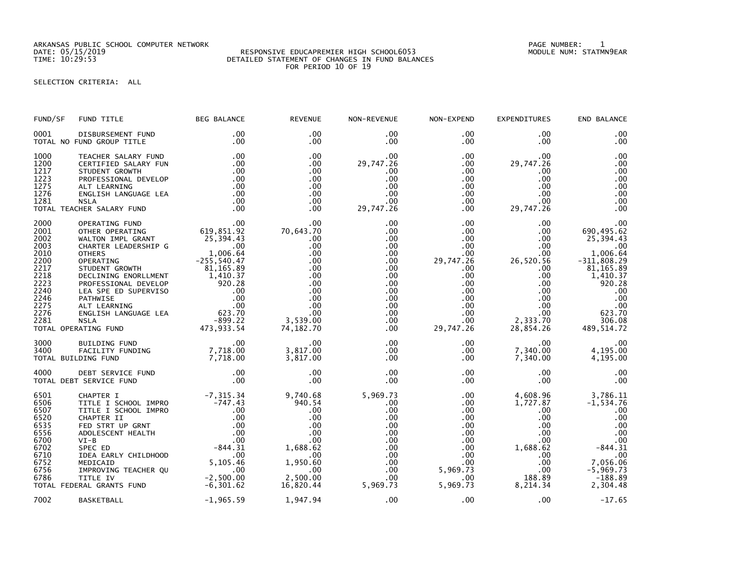ARKANSAS PUBLIC SCHOOL COMPUTER NETWORK PAGE NUMBER: 1

## RESPONSIVE EDUCAPREMIER HIGH SCHOOL6053 TIME: 10:29:53 DETAILED STATEMENT OF CHANGES IN FUND BALANCES FOR PERIOD 10 OF 19

## SELECTION CRITERIA: ALL

| FUND/SF                                                                                                      | FUND TITLE                                                                                                                                                                                                                                                                                                                                                                  | <b>BEG BALANCE</b>                                                                                                                                  | <b>REVENUE</b>                                                                                                         | NON-REVENUE                                                                                                                              | NON-EXPEND                                                                                                                                                                            | <b>EXPENDITURES</b>                                                                                                                                       | END BALANCE                                                                                                                                                   |
|--------------------------------------------------------------------------------------------------------------|-----------------------------------------------------------------------------------------------------------------------------------------------------------------------------------------------------------------------------------------------------------------------------------------------------------------------------------------------------------------------------|-----------------------------------------------------------------------------------------------------------------------------------------------------|------------------------------------------------------------------------------------------------------------------------|------------------------------------------------------------------------------------------------------------------------------------------|---------------------------------------------------------------------------------------------------------------------------------------------------------------------------------------|-----------------------------------------------------------------------------------------------------------------------------------------------------------|---------------------------------------------------------------------------------------------------------------------------------------------------------------|
| 0001                                                                                                         | DISBURSEMENT FUND<br>TOTAL NO FUND GROUP TITLE                                                                                                                                                                                                                                                                                                                              | $.00 \,$<br>.00                                                                                                                                     | $.00 \times$<br>$.00 \times$                                                                                           | $.00 \,$<br>$.00 \,$                                                                                                                     | $.00 \,$<br>$.00 \,$                                                                                                                                                                  | $.00 \,$<br>$.00 \,$                                                                                                                                      | .00<br>.00                                                                                                                                                    |
| 1000<br>1200<br>1217<br>1223<br>1275<br>1276<br>1281                                                         | TEACHER SALARY FUND<br>CERTIFIED SALARY FUN<br>STUDENT GROWTH<br>PROFESSIONAL DEVELOP<br>ALT LEARNING<br>ENGLISH LANGUAGE LEA<br><b>NSLA</b><br>TOTAL TEACHER SALARY FUND                                                                                                                                                                                                   | .00<br>.00<br>.00<br>.00<br>.00<br>.00<br>.00<br>$\overline{\phantom{0}}$ .00                                                                       | $.00 \times$<br>.00<br>.00<br>.00<br>.00<br>$.00 \times$<br>.00<br>.00                                                 | .00<br>29,747.26<br>.00.<br>.00<br>.00<br>.00<br>.00<br>29,747.26                                                                        | $.00 \,$<br>$.00 \,$<br>$.00 \,$<br>.00<br>$.00 \,$<br>$.00 \,$<br>$.00 \,$<br>$.00 \,$                                                                                               | .00<br>29,747.26<br>.00.<br>.00<br>$.00 \,$<br>$.00 \,$<br>.00<br>29,747.26                                                                               | .00<br>.00<br>.00<br>.00<br>.00<br>.00<br>.00<br>.00                                                                                                          |
| 2000<br>2001<br>2002<br>2003<br>2010<br>2200<br>2217<br>2218<br>2223<br>2240<br>2246<br>2275<br>2276<br>2281 | OPERATING FUND<br>OTHER OPERATING<br>WALTON IMPL GRANT<br>CHARTER LEADERSHIP G<br><b>OTHERS</b><br>1,006.64<br>OPERATING 255,540.47<br>STUDENT GROWTH 81,165.89<br>DECLINING ENORLLMENT 81,165.89<br>DECLINING ENORLLMENT 1,410.37<br>PROFESSIONAL DEVELOP 920.28<br>LEA SPE ED SUPERVISO .00<br>ALT LEARNING .00<br>ALT LEARNING .00<br>NSLA NORLL<br>TOTAL OPERATING FUND | $619, 851.92$<br>25, 394.43<br>25, 394.43<br>1,006.64<br>255, 540.47<br>ے ۔ ددہ –<br>473, 933. 54                                                   | .00<br>70,643.70<br>.00<br>.00<br>.00<br>.00<br>.00<br>.00<br>.00<br>.00<br>.00<br>.00<br>.00<br>3,539.00<br>74,182.70 | .00<br>.00<br>.00<br>$.00 \,$<br>.00<br>$.00 \,$<br>.00<br>.00<br>$.00 \,$<br>$.00 \,$<br>$.00 \,$<br>.00<br>$.00 \,$<br>.00<br>$.00 \,$ | $.00 \,$<br>$.00 \,$<br>$.00 \,$<br>$.00 \,$<br>$.00 \,$<br>29,747.26<br>$.00 \,$<br>$.00 \,$<br>$.00 \cdot$<br>$.00 \,$<br>$.00 \,$<br>$.00 \,$<br>$.00 \,$<br>$.00 \,$<br>29,747.26 | .00<br>$.00 \,$<br>$.00 \,$<br>$.00 \,$<br>$.00 \,$<br>26,520.56<br>.00<br>.00<br>.00<br>$.00 \,$<br>$.00 \,$<br>.00<br>$.00 \,$<br>2,333.70<br>28,854.26 | .00<br>690,495.62<br>25,394.43<br>.00<br>1,006.64<br>$-311,808.29$<br>81, 165.89<br>1,410.37<br>920.28<br>.00<br>.00<br>.00<br>623.70<br>306.08<br>489,514.72 |
| 3000<br>3400                                                                                                 | BUILDING FUND<br>FACILITY FUNDING<br>TOTAL BUILDING FUND                                                                                                                                                                                                                                                                                                                    | $\overline{\phantom{0}}$ .00<br>00<br>7, 718 . 00<br>7, 718 . 00                                                                                    | .00<br>3,817.00<br>3,817.00                                                                                            | $.00 \,$<br>$.00 \,$<br>$.00 \,$                                                                                                         | $.00\,$<br>$.00 \,$<br>$.00 \,$                                                                                                                                                       | $.00 \,$<br>7,340.00<br>7,340.00                                                                                                                          | .00<br>4,195.00<br>4,195.00                                                                                                                                   |
| 4000                                                                                                         | DEBT SERVICE FUND<br>TOTAL DEBT SERVICE FUND                                                                                                                                                                                                                                                                                                                                | $\frac{.00}{.00}$                                                                                                                                   | .00<br>.00                                                                                                             | .00<br>.00                                                                                                                               | .00<br>$.00 \,$                                                                                                                                                                       | .00<br>$.00 \,$                                                                                                                                           | .00<br>.00                                                                                                                                                    |
| 6501<br>6506<br>6507<br>6520<br>6535<br>6556<br>6700<br>6702<br>6710<br>6752<br>6756<br>6786                 | CHAPTER I<br>TITLE I SCHOOL IMPRO<br>TITLE I SCHOOL IMPRO<br>CHAPTER II<br>FED STRT UP GRNT<br>ADOLESCENT HEALTH<br>$VI-B$<br>SPEC ED<br>IDEA EARLY CHILDHOOD<br>MEDICAID<br>IMPROVING TEACHER QU<br>TITLE IV<br>TOTAL FEDERAL GRANTS FUND                                                                                                                                  | $-7,315.34$<br>$-747.43$<br>00<br>$-844.31$<br>$-844.31$<br>$-00$<br>$-00$<br>$-00$<br>$-06$<br>5,105.46<br>$\sim$ 00<br>$-2,500.00$<br>$-6,301.62$ | 9,740.68<br>940.54<br>.00<br>.00<br>.00<br>.00<br>.00<br>1,688.62<br>.00<br>1,950.60<br>.00<br>2,500.00<br>16,820.44   | 5,969.73<br>.00<br>.00<br>.00<br>.00<br>.00<br>.00<br>.00<br>$.00 \,$<br>.00<br>$.00 \,$<br>.00<br>5,969.73                              | $.00 \,$<br>$.00 \,$<br>$.00 \,$<br>$.00 \,$<br>$.00 \cdot$<br>$.00\,$<br>$.00 \,$<br>$.00 \,$<br>$.00 \,$<br>$.00 \,$<br>5,969.73<br>$.00 \cdot$<br>5,969.73                         | 4,608.96<br>1,727.87<br>.00<br>.00<br>$.00 \,$<br>$.00 \,$<br>.00<br>1,688.62<br>$.00 \,$<br>$.00 \,$<br>.00<br>188.89<br>8,214.34                        | 3,786.11<br>$-1,534.76$<br>.00<br>.00<br>.00<br>.00<br>.00<br>$-844.31$<br>.00<br>7,056.06<br>$-5,969.73$<br>$-188.89$<br>2,304.48                            |
| 7002                                                                                                         | BASKETBALL                                                                                                                                                                                                                                                                                                                                                                  | $-1,965.59$                                                                                                                                         | 1,947.94                                                                                                               | .00                                                                                                                                      | .00                                                                                                                                                                                   | .00                                                                                                                                                       | $-17.65$                                                                                                                                                      |